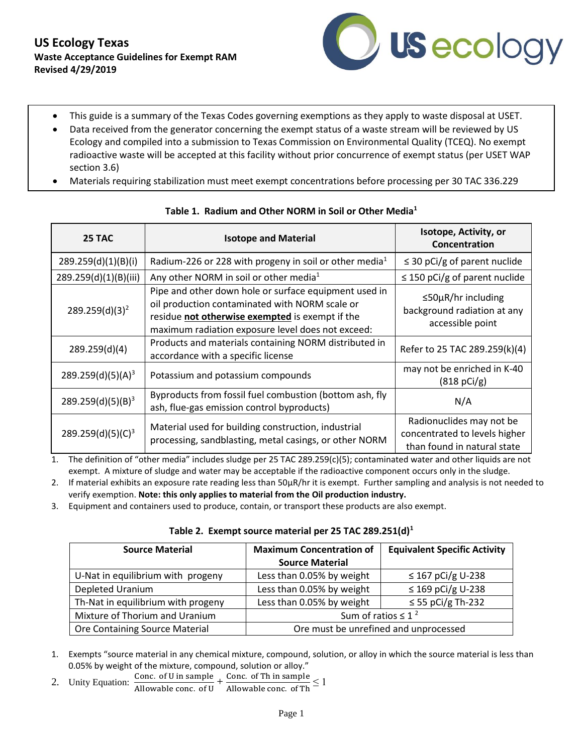

- This guide is a summary of the Texas Codes governing exemptions as they apply to waste disposal at USET.
- Data received from the generator concerning the exempt status of a waste stream will be reviewed by US Ecology and compiled into a submission to Texas Commission on Environmental Quality (TCEQ). No exempt radioactive waste will be accepted at this facility without prior concurrence of exempt status (per USET WAP section 3.6)
- Materials requiring stabilization must meet exempt concentrations before processing per 30 TAC 336.229

| 25 TAC                        | <b>Isotope and Material</b>                                                                                                                                                                                     | Isotope, Activity, or<br>Concentration                                                   |
|-------------------------------|-----------------------------------------------------------------------------------------------------------------------------------------------------------------------------------------------------------------|------------------------------------------------------------------------------------------|
| 289.259(d)(1)(B)(i)           | Radium-226 or 228 with progeny in soil or other media <sup>1</sup>                                                                                                                                              | $\leq$ 30 pCi/g of parent nuclide                                                        |
| 289.259(d)(1)(B)(iii)         | Any other NORM in soil or other media <sup>1</sup>                                                                                                                                                              | $\leq$ 150 pCi/g of parent nuclide                                                       |
| 289.259(d)(3) <sup>2</sup>    | Pipe and other down hole or surface equipment used in<br>oil production contaminated with NORM scale or<br>residue not otherwise exempted is exempt if the<br>maximum radiation exposure level does not exceed: | $\leq$ 50µR/hr including<br>background radiation at any<br>accessible point              |
| 289.259(d)(4)                 | Products and materials containing NORM distributed in<br>accordance with a specific license                                                                                                                     | Refer to 25 TAC 289.259(k)(4)                                                            |
| $289.259(d)(5)(A)^3$          | Potassium and potassium compounds                                                                                                                                                                               | may not be enriched in K-40<br>(818 pCi/g)                                               |
| 289.259(d)(5)(B) <sup>3</sup> | Byproducts from fossil fuel combustion (bottom ash, fly<br>ash, flue-gas emission control byproducts)                                                                                                           | N/A                                                                                      |
| 289.259(d)(5)(C) <sup>3</sup> | Material used for building construction, industrial<br>processing, sandblasting, metal casings, or other NORM                                                                                                   | Radionuclides may not be<br>concentrated to levels higher<br>than found in natural state |

### **Table 1. Radium and Other NORM in Soil or Other Media<sup>1</sup>**

1. The definition of "other media" includes sludge per 25 TAC 289.259(c)(5); contaminated water and other liquids are not exempt. A mixture of sludge and water may be acceptable if the radioactive component occurs only in the sludge.

2. If material exhibits an exposure rate reading less than 50µR/hr it is exempt. Further sampling and analysis is not needed to verify exemption. **Note: this only applies to material from the Oil production industry.**

3. Equipment and containers used to produce, contain, or transport these products are also exempt.

#### **Table 2. Exempt source material per 25 TAC 289.251(d)<sup>1</sup>**

| <b>Source Material</b>             | <b>Maximum Concentration of</b>       | <b>Equivalent Specific Activity</b> |
|------------------------------------|---------------------------------------|-------------------------------------|
|                                    | <b>Source Material</b>                |                                     |
| U-Nat in equilibrium with progeny  | Less than 0.05% by weight             | ≤ 167 pCi/g U-238                   |
| Depleted Uranium                   | Less than 0.05% by weight             | $\leq$ 169 pCi/g U-238              |
| Th-Nat in equilibrium with progeny | Less than 0.05% by weight             | $\leq$ 55 pCi/g Th-232              |
| Mixture of Thorium and Uranium     | Sum of ratios $\leq 1^2$              |                                     |
| Ore Containing Source Material     | Ore must be unrefined and unprocessed |                                     |

1. Exempts "source material in any chemical mixture, compound, solution, or alloy in which the source material is less than 0.05% by weight of the mixture, compound, solution or alloy."

2. Unity Equation:  $\frac{\text{Conc. of U in sample}}{\text{All. All cases of U}}$ Conc. of U in sample<br>Allowable conc. of U +  $\frac{\text{Conc. of Th in sample}}{\text{Allowable conc. of Th}} \leq 1$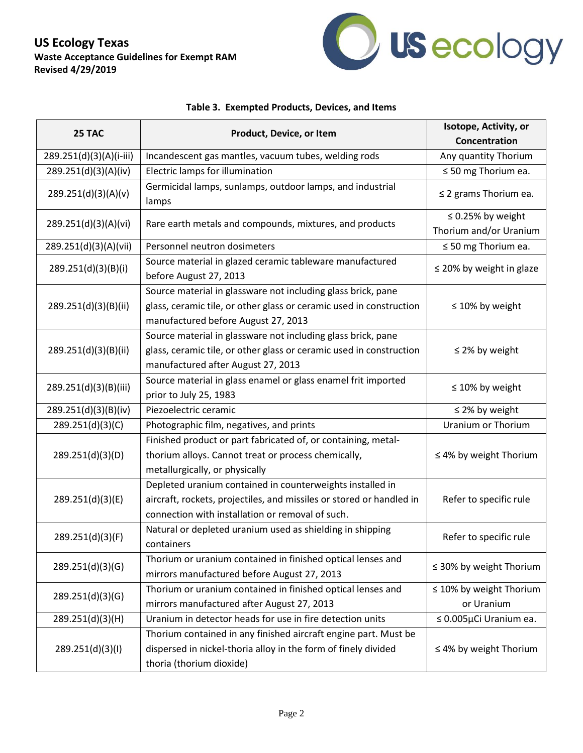## **US Ecology Texas Waste Acceptance Guidelines for Exempt RAM Revised 4/29/2019**



### **Table 3. Exempted Products, Devices, and Items**

| 25 TAC                  | Product, Device, or Item                                                                                                                                                              | Isotope, Activity, or                            |
|-------------------------|---------------------------------------------------------------------------------------------------------------------------------------------------------------------------------------|--------------------------------------------------|
|                         |                                                                                                                                                                                       | Concentration                                    |
| 289.251(d)(3)(A)(i-iii) | Incandescent gas mantles, vacuum tubes, welding rods                                                                                                                                  | Any quantity Thorium                             |
| 289.251(d)(3)(A)(iv)    | Electric lamps for illumination                                                                                                                                                       | $\leq$ 50 mg Thorium ea.                         |
| 289.251(d)(3)(A)(v)     | Germicidal lamps, sunlamps, outdoor lamps, and industrial<br>lamps                                                                                                                    | $\leq$ 2 grams Thorium ea.                       |
| 289.251(d)(3)(A)(vi)    | Rare earth metals and compounds, mixtures, and products                                                                                                                               | $\leq$ 0.25% by weight<br>Thorium and/or Uranium |
| 289.251(d)(3)(A)(vii)   | Personnel neutron dosimeters                                                                                                                                                          | $\leq$ 50 mg Thorium ea.                         |
| 289.251(d)(3)(B)(i)     | Source material in glazed ceramic tableware manufactured<br>before August 27, 2013                                                                                                    | $\leq$ 20% by weight in glaze                    |
| 289.251(d)(3)(B)(ii)    | Source material in glassware not including glass brick, pane<br>glass, ceramic tile, or other glass or ceramic used in construction<br>manufactured before August 27, 2013            | $\leq 10\%$ by weight                            |
| 289.251(d)(3)(B)(ii)    | Source material in glassware not including glass brick, pane<br>glass, ceramic tile, or other glass or ceramic used in construction<br>manufactured after August 27, 2013             | $\leq$ 2% by weight                              |
| 289.251(d)(3)(B)(iii)   | Source material in glass enamel or glass enamel frit imported<br>prior to July 25, 1983                                                                                               | $\leq 10\%$ by weight                            |
| 289.251(d)(3)(B)(iv)    | Piezoelectric ceramic                                                                                                                                                                 | $\leq$ 2% by weight                              |
| 289.251(d)(3)(C)        | Photographic film, negatives, and prints                                                                                                                                              | <b>Uranium or Thorium</b>                        |
| 289.251(d)(3)(D)        | Finished product or part fabricated of, or containing, metal-<br>thorium alloys. Cannot treat or process chemically,<br>metallurgically, or physically                                | $\leq$ 4% by weight Thorium                      |
| 289.251(d)(3)(E)        | Depleted uranium contained in counterweights installed in<br>aircraft, rockets, projectiles, and missiles or stored or handled in<br>connection with installation or removal of such. | Refer to specific rule                           |
| 289.251(d)(3)(F)        | Natural or depleted uranium used as shielding in shipping<br>containers                                                                                                               | Refer to specific rule                           |
| 289.251(d)(3)(G)        | Thorium or uranium contained in finished optical lenses and<br>mirrors manufactured before August 27, 2013                                                                            | $\leq$ 30% by weight Thorium                     |
| 289.251(d)(3)(G)        | Thorium or uranium contained in finished optical lenses and<br>mirrors manufactured after August 27, 2013                                                                             | $\leq 10\%$ by weight Thorium<br>or Uranium      |
| 289.251(d)(3)(H)        | Uranium in detector heads for use in fire detection units                                                                                                                             | $\leq 0.005 \mu$ Ci Uranium ea.                  |
| 289.251(d)(3)(l)        | Thorium contained in any finished aircraft engine part. Must be<br>dispersed in nickel-thoria alloy in the form of finely divided<br>thoria (thorium dioxide)                         | $\leq$ 4% by weight Thorium                      |